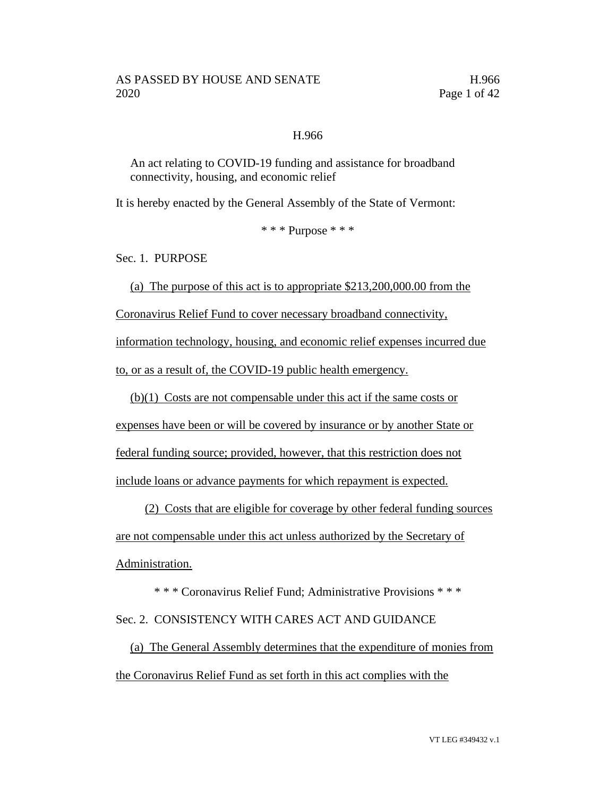### H.966

An act relating to COVID-19 funding and assistance for broadband connectivity, housing, and economic relief

It is hereby enacted by the General Assembly of the State of Vermont:

\* \* \* Purpose \* \* \*

Sec. 1. PURPOSE

(a) The purpose of this act is to appropriate \$213,200,000.00 from the Coronavirus Relief Fund to cover necessary broadband connectivity, information technology, housing, and economic relief expenses incurred due to, or as a result of, the COVID-19 public health emergency.

(b)(1) Costs are not compensable under this act if the same costs or

expenses have been or will be covered by insurance or by another State or federal funding source; provided, however, that this restriction does not

include loans or advance payments for which repayment is expected.

(2) Costs that are eligible for coverage by other federal funding sources are not compensable under this act unless authorized by the Secretary of Administration.

\* \* \* Coronavirus Relief Fund; Administrative Provisions \* \* \* Sec. 2. CONSISTENCY WITH CARES ACT AND GUIDANCE

(a) The General Assembly determines that the expenditure of monies from the Coronavirus Relief Fund as set forth in this act complies with the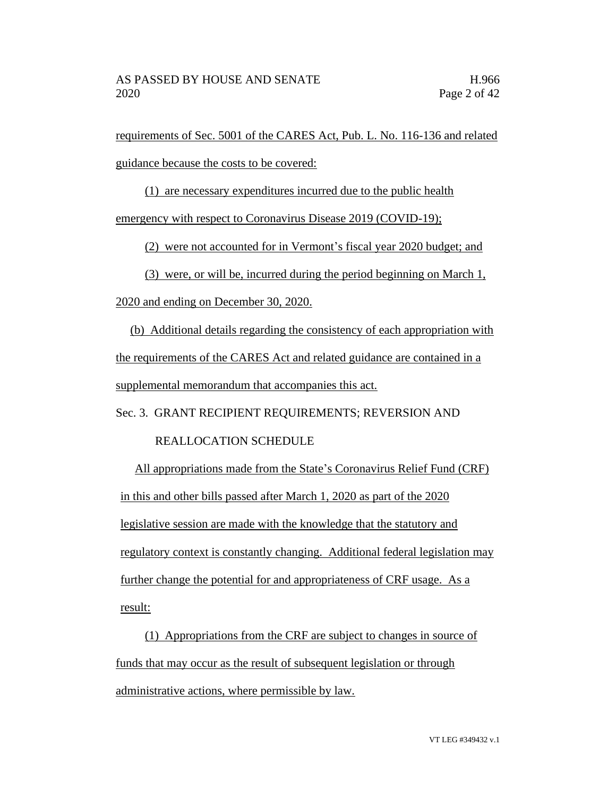requirements of Sec. 5001 of the CARES Act, Pub. L. No. 116-136 and related guidance because the costs to be covered:

(1) are necessary expenditures incurred due to the public health

emergency with respect to Coronavirus Disease 2019 (COVID-19);

(2) were not accounted for in Vermont's fiscal year 2020 budget; and

(3) were, or will be, incurred during the period beginning on March 1, 2020 and ending on December 30, 2020.

(b) Additional details regarding the consistency of each appropriation with the requirements of the CARES Act and related guidance are contained in a supplemental memorandum that accompanies this act.

Sec. 3. GRANT RECIPIENT REQUIREMENTS; REVERSION AND

### REALLOCATION SCHEDULE

All appropriations made from the State's Coronavirus Relief Fund (CRF) in this and other bills passed after March 1, 2020 as part of the 2020 legislative session are made with the knowledge that the statutory and regulatory context is constantly changing. Additional federal legislation may further change the potential for and appropriateness of CRF usage. As a result:

(1) Appropriations from the CRF are subject to changes in source of funds that may occur as the result of subsequent legislation or through administrative actions, where permissible by law.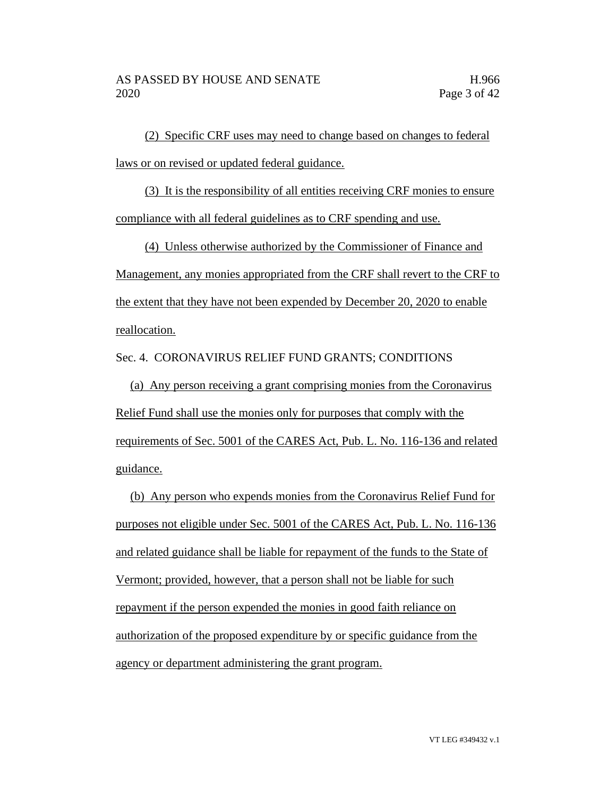(2) Specific CRF uses may need to change based on changes to federal laws or on revised or updated federal guidance.

(3) It is the responsibility of all entities receiving CRF monies to ensure compliance with all federal guidelines as to CRF spending and use.

(4) Unless otherwise authorized by the Commissioner of Finance and Management, any monies appropriated from the CRF shall revert to the CRF to the extent that they have not been expended by December 20, 2020 to enable reallocation.

Sec. 4. CORONAVIRUS RELIEF FUND GRANTS; CONDITIONS

(a) Any person receiving a grant comprising monies from the Coronavirus Relief Fund shall use the monies only for purposes that comply with the requirements of Sec. 5001 of the CARES Act, Pub. L. No. 116-136 and related guidance.

(b) Any person who expends monies from the Coronavirus Relief Fund for purposes not eligible under Sec. 5001 of the CARES Act, Pub. L. No. 116-136 and related guidance shall be liable for repayment of the funds to the State of Vermont; provided, however, that a person shall not be liable for such repayment if the person expended the monies in good faith reliance on authorization of the proposed expenditure by or specific guidance from the agency or department administering the grant program.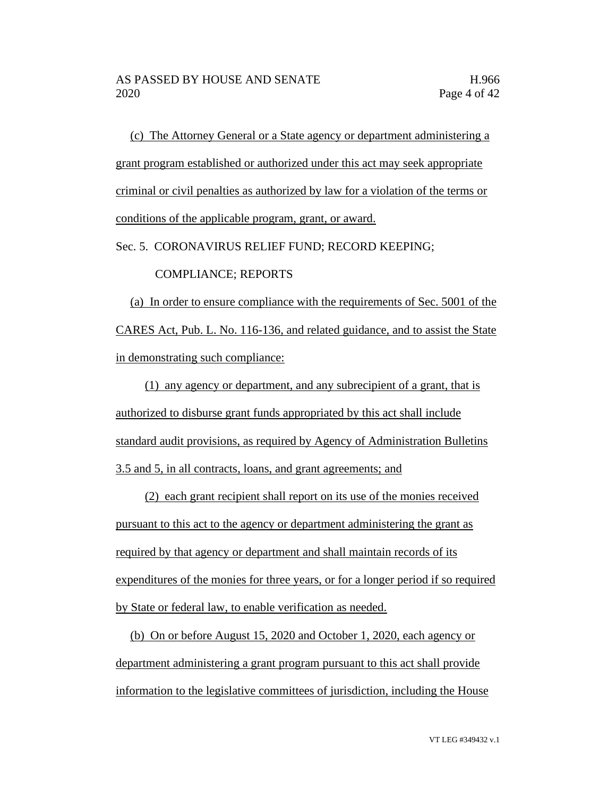(c) The Attorney General or a State agency or department administering a grant program established or authorized under this act may seek appropriate criminal or civil penalties as authorized by law for a violation of the terms or conditions of the applicable program, grant, or award.

Sec. 5. CORONAVIRUS RELIEF FUND; RECORD KEEPING;

#### COMPLIANCE; REPORTS

(a) In order to ensure compliance with the requirements of Sec. 5001 of the CARES Act, Pub. L. No. 116-136, and related guidance, and to assist the State in demonstrating such compliance:

(1) any agency or department, and any subrecipient of a grant, that is authorized to disburse grant funds appropriated by this act shall include standard audit provisions, as required by Agency of Administration Bulletins 3.5 and 5, in all contracts, loans, and grant agreements; and

(2) each grant recipient shall report on its use of the monies received pursuant to this act to the agency or department administering the grant as required by that agency or department and shall maintain records of its expenditures of the monies for three years, or for a longer period if so required by State or federal law, to enable verification as needed.

(b) On or before August 15, 2020 and October 1, 2020, each agency or department administering a grant program pursuant to this act shall provide information to the legislative committees of jurisdiction, including the House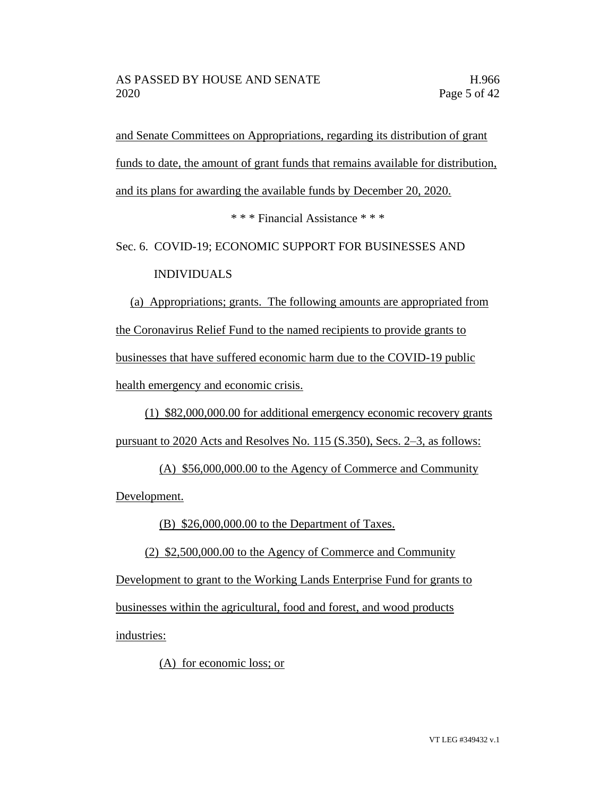and Senate Committees on Appropriations, regarding its distribution of grant funds to date, the amount of grant funds that remains available for distribution, and its plans for awarding the available funds by December 20, 2020.

\* \* \* Financial Assistance \* \* \*

Sec. 6. COVID-19; ECONOMIC SUPPORT FOR BUSINESSES AND INDIVIDUALS

(a) Appropriations; grants. The following amounts are appropriated from the Coronavirus Relief Fund to the named recipients to provide grants to businesses that have suffered economic harm due to the COVID-19 public health emergency and economic crisis.

(1) \$82,000,000.00 for additional emergency economic recovery grants pursuant to 2020 Acts and Resolves No. 115 (S.350), Secs. 2–3, as follows:

(A) \$56,000,000.00 to the Agency of Commerce and Community Development.

(B) \$26,000,000.00 to the Department of Taxes.

(2) \$2,500,000.00 to the Agency of Commerce and Community

Development to grant to the Working Lands Enterprise Fund for grants to businesses within the agricultural, food and forest, and wood products industries:

(A) for economic loss; or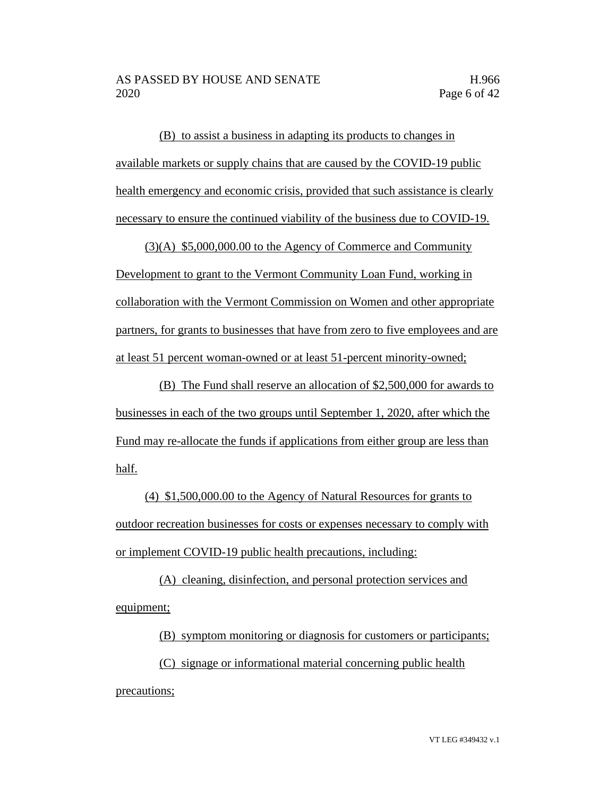(B) to assist a business in adapting its products to changes in available markets or supply chains that are caused by the COVID-19 public health emergency and economic crisis, provided that such assistance is clearly necessary to ensure the continued viability of the business due to COVID-19.

(3)(A) \$5,000,000.00 to the Agency of Commerce and Community Development to grant to the Vermont Community Loan Fund, working in collaboration with the Vermont Commission on Women and other appropriate partners, for grants to businesses that have from zero to five employees and are at least 51 percent woman-owned or at least 51-percent minority-owned;

(B) The Fund shall reserve an allocation of \$2,500,000 for awards to businesses in each of the two groups until September 1, 2020, after which the Fund may re-allocate the funds if applications from either group are less than half.

(4) \$1,500,000.00 to the Agency of Natural Resources for grants to outdoor recreation businesses for costs or expenses necessary to comply with or implement COVID-19 public health precautions, including:

(A) cleaning, disinfection, and personal protection services and equipment;

(B) symptom monitoring or diagnosis for customers or participants;

(C) signage or informational material concerning public health precautions;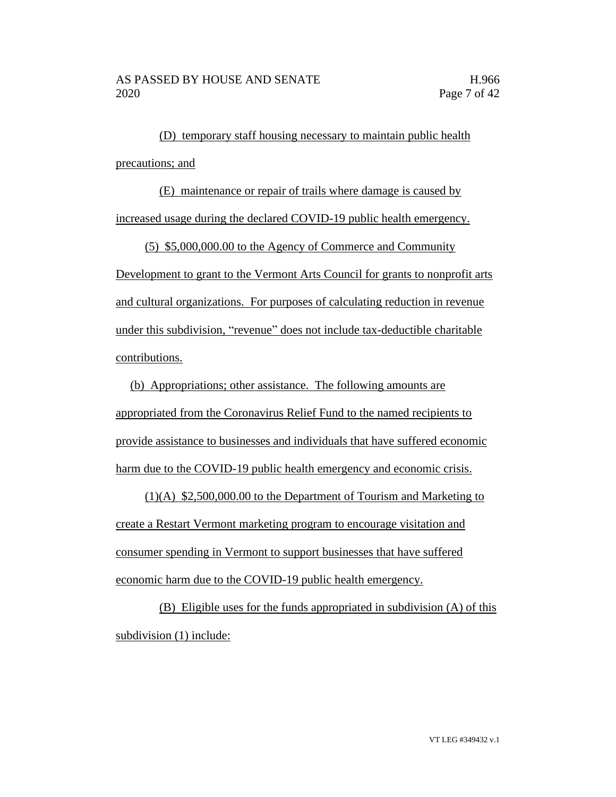(D) temporary staff housing necessary to maintain public health precautions; and

(E) maintenance or repair of trails where damage is caused by increased usage during the declared COVID-19 public health emergency.

(5) \$5,000,000.00 to the Agency of Commerce and Community Development to grant to the Vermont Arts Council for grants to nonprofit arts and cultural organizations. For purposes of calculating reduction in revenue under this subdivision, "revenue" does not include tax-deductible charitable contributions.

(b) Appropriations; other assistance. The following amounts are appropriated from the Coronavirus Relief Fund to the named recipients to provide assistance to businesses and individuals that have suffered economic harm due to the COVID-19 public health emergency and economic crisis.

(1)(A) \$2,500,000.00 to the Department of Tourism and Marketing to create a Restart Vermont marketing program to encourage visitation and consumer spending in Vermont to support businesses that have suffered economic harm due to the COVID-19 public health emergency.

(B) Eligible uses for the funds appropriated in subdivision (A) of this subdivision (1) include: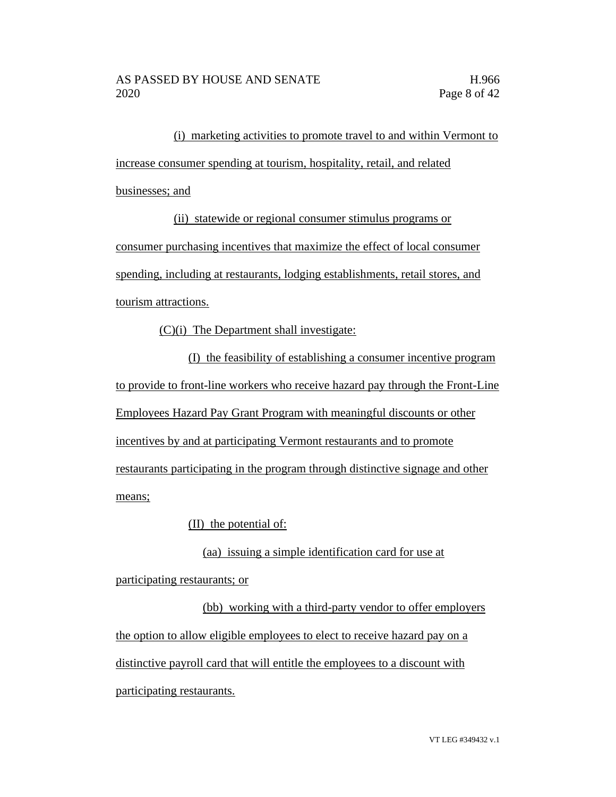(i) marketing activities to promote travel to and within Vermont to increase consumer spending at tourism, hospitality, retail, and related businesses; and

(ii) statewide or regional consumer stimulus programs or

consumer purchasing incentives that maximize the effect of local consumer spending, including at restaurants, lodging establishments, retail stores, and tourism attractions.

(C)(i) The Department shall investigate:

(I) the feasibility of establishing a consumer incentive program to provide to front-line workers who receive hazard pay through the Front-Line Employees Hazard Pay Grant Program with meaningful discounts or other incentives by and at participating Vermont restaurants and to promote restaurants participating in the program through distinctive signage and other means;

(II) the potential of:

(aa) issuing a simple identification card for use at

participating restaurants; or

(bb) working with a third-party vendor to offer employers the option to allow eligible employees to elect to receive hazard pay on a distinctive payroll card that will entitle the employees to a discount with participating restaurants.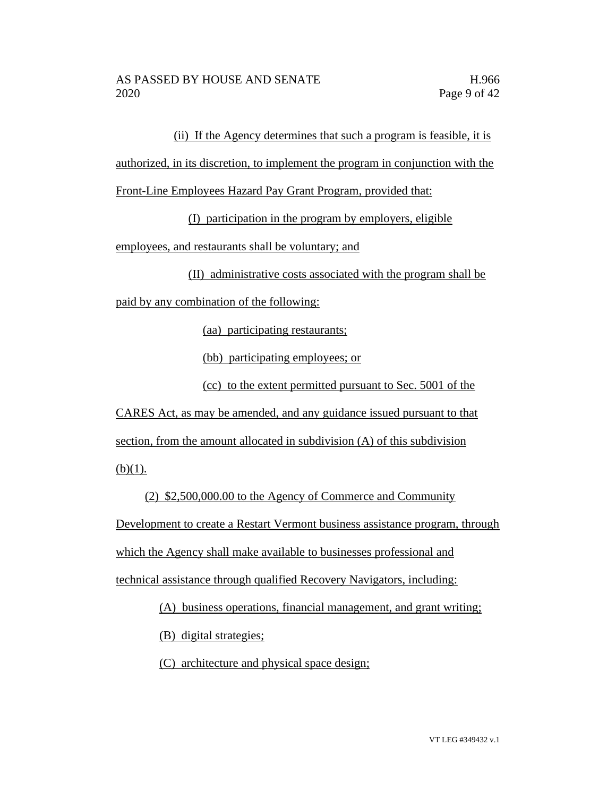(ii) If the Agency determines that such a program is feasible, it is

authorized, in its discretion, to implement the program in conjunction with the

Front-Line Employees Hazard Pay Grant Program, provided that:

(I) participation in the program by employers, eligible

employees, and restaurants shall be voluntary; and

(II) administrative costs associated with the program shall be

paid by any combination of the following:

(aa) participating restaurants;

(bb) participating employees; or

(cc) to the extent permitted pursuant to Sec. 5001 of the

CARES Act, as may be amended, and any guidance issued pursuant to that section, from the amount allocated in subdivision (A) of this subdivision  $(b)(1)$ .

(2) \$2,500,000.00 to the Agency of Commerce and Community Development to create a Restart Vermont business assistance program, through which the Agency shall make available to businesses professional and technical assistance through qualified Recovery Navigators, including:

(A) business operations, financial management, and grant writing;

(B) digital strategies;

(C) architecture and physical space design;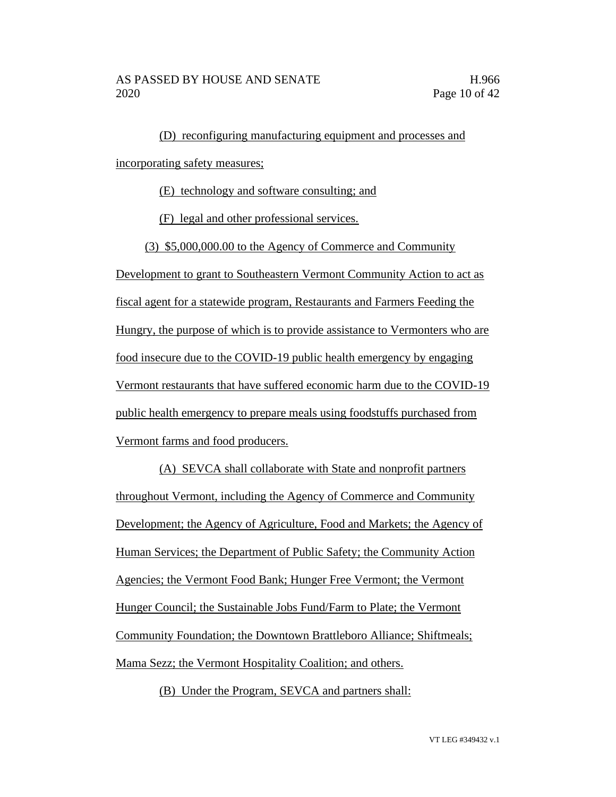(D) reconfiguring manufacturing equipment and processes and incorporating safety measures;

(E) technology and software consulting; and

(F) legal and other professional services.

(3) \$5,000,000.00 to the Agency of Commerce and Community

Development to grant to Southeastern Vermont Community Action to act as fiscal agent for a statewide program, Restaurants and Farmers Feeding the Hungry, the purpose of which is to provide assistance to Vermonters who are food insecure due to the COVID-19 public health emergency by engaging Vermont restaurants that have suffered economic harm due to the COVID-19 public health emergency to prepare meals using foodstuffs purchased from Vermont farms and food producers.

(A) SEVCA shall collaborate with State and nonprofit partners throughout Vermont, including the Agency of Commerce and Community Development; the Agency of Agriculture, Food and Markets; the Agency of Human Services; the Department of Public Safety; the Community Action Agencies; the Vermont Food Bank; Hunger Free Vermont; the Vermont Hunger Council; the Sustainable Jobs Fund/Farm to Plate; the Vermont Community Foundation; the Downtown Brattleboro Alliance; Shiftmeals; Mama Sezz; the Vermont Hospitality Coalition; and others.

(B) Under the Program, SEVCA and partners shall: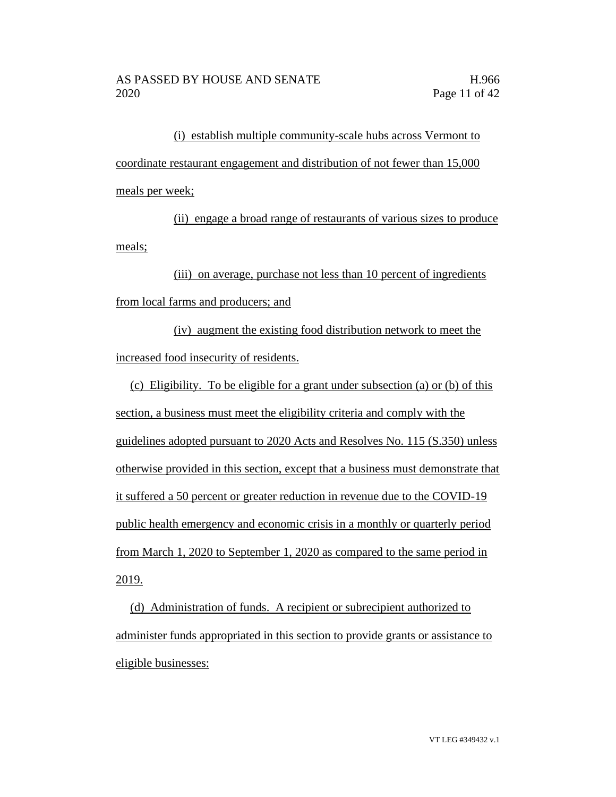(i) establish multiple community-scale hubs across Vermont to coordinate restaurant engagement and distribution of not fewer than 15,000 meals per week;

(ii) engage a broad range of restaurants of various sizes to produce meals;

(iii) on average, purchase not less than 10 percent of ingredients from local farms and producers; and

(iv) augment the existing food distribution network to meet the increased food insecurity of residents.

(c) Eligibility. To be eligible for a grant under subsection (a) or (b) of this section, a business must meet the eligibility criteria and comply with the guidelines adopted pursuant to 2020 Acts and Resolves No. 115 (S.350) unless otherwise provided in this section, except that a business must demonstrate that it suffered a 50 percent or greater reduction in revenue due to the COVID-19 public health emergency and economic crisis in a monthly or quarterly period from March 1, 2020 to September 1, 2020 as compared to the same period in 2019.

(d) Administration of funds. A recipient or subrecipient authorized to administer funds appropriated in this section to provide grants or assistance to eligible businesses: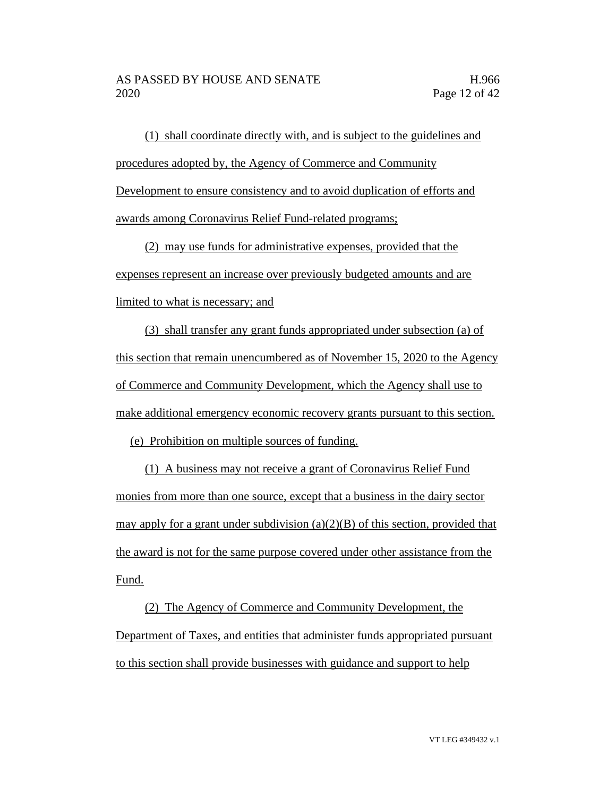(1) shall coordinate directly with, and is subject to the guidelines and procedures adopted by, the Agency of Commerce and Community Development to ensure consistency and to avoid duplication of efforts and awards among Coronavirus Relief Fund-related programs;

(2) may use funds for administrative expenses, provided that the expenses represent an increase over previously budgeted amounts and are limited to what is necessary; and

(3) shall transfer any grant funds appropriated under subsection (a) of this section that remain unencumbered as of November 15, 2020 to the Agency of Commerce and Community Development, which the Agency shall use to make additional emergency economic recovery grants pursuant to this section.

(e) Prohibition on multiple sources of funding.

(1) A business may not receive a grant of Coronavirus Relief Fund monies from more than one source, except that a business in the dairy sector may apply for a grant under subdivision (a)(2)(B) of this section, provided that the award is not for the same purpose covered under other assistance from the Fund.

(2) The Agency of Commerce and Community Development, the Department of Taxes, and entities that administer funds appropriated pursuant to this section shall provide businesses with guidance and support to help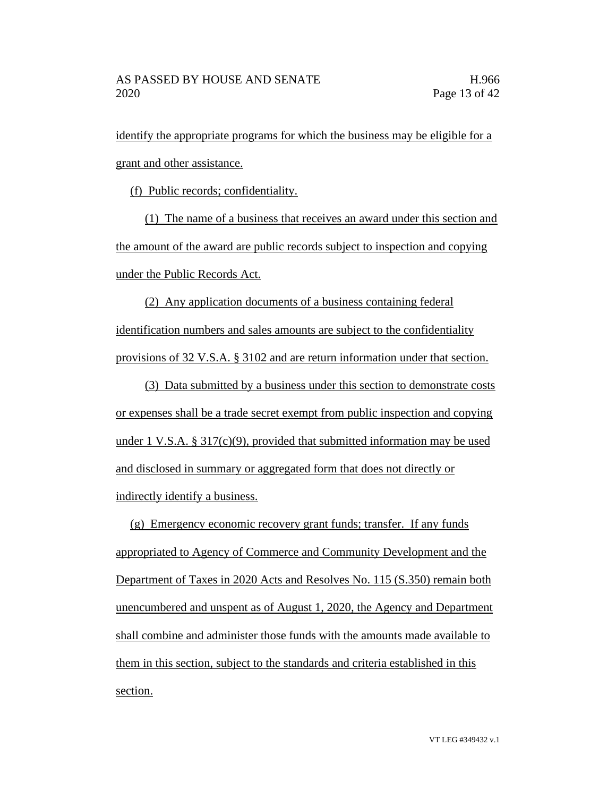identify the appropriate programs for which the business may be eligible for a grant and other assistance.

(f) Public records; confidentiality.

(1) The name of a business that receives an award under this section and the amount of the award are public records subject to inspection and copying under the Public Records Act.

(2) Any application documents of a business containing federal identification numbers and sales amounts are subject to the confidentiality provisions of 32 V.S.A. § 3102 and are return information under that section.

(3) Data submitted by a business under this section to demonstrate costs or expenses shall be a trade secret exempt from public inspection and copying under 1 V.S.A.  $\S 317(c)(9)$ , provided that submitted information may be used and disclosed in summary or aggregated form that does not directly or indirectly identify a business.

(g) Emergency economic recovery grant funds; transfer. If any funds appropriated to Agency of Commerce and Community Development and the Department of Taxes in 2020 Acts and Resolves No. 115 (S.350) remain both unencumbered and unspent as of August 1, 2020, the Agency and Department shall combine and administer those funds with the amounts made available to them in this section, subject to the standards and criteria established in this section.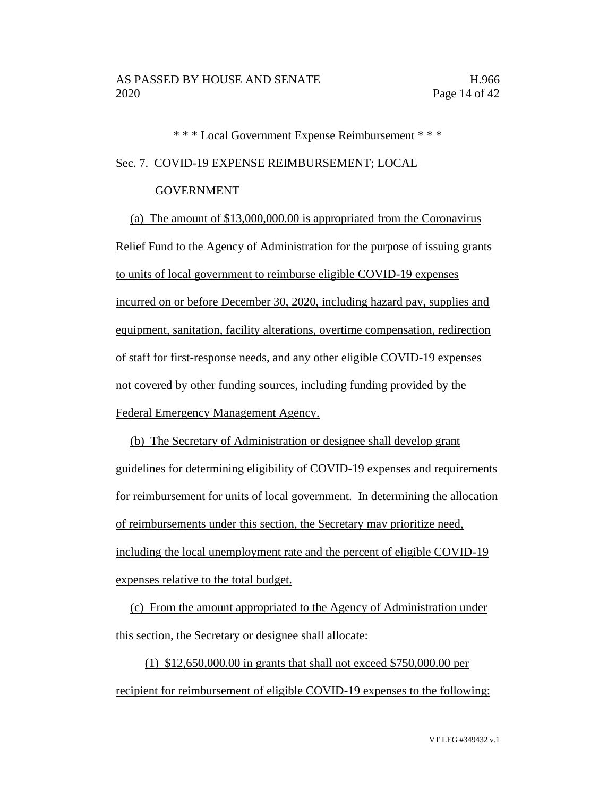\* \* \* Local Government Expense Reimbursement \* \* \* Sec. 7. COVID-19 EXPENSE REIMBURSEMENT; LOCAL

#### GOVERNMENT

(a) The amount of \$13,000,000.00 is appropriated from the Coronavirus Relief Fund to the Agency of Administration for the purpose of issuing grants to units of local government to reimburse eligible COVID-19 expenses incurred on or before December 30, 2020, including hazard pay, supplies and equipment, sanitation, facility alterations, overtime compensation, redirection of staff for first-response needs, and any other eligible COVID-19 expenses not covered by other funding sources, including funding provided by the Federal Emergency Management Agency.

(b) The Secretary of Administration or designee shall develop grant guidelines for determining eligibility of COVID-19 expenses and requirements for reimbursement for units of local government. In determining the allocation of reimbursements under this section, the Secretary may prioritize need, including the local unemployment rate and the percent of eligible COVID-19 expenses relative to the total budget.

(c) From the amount appropriated to the Agency of Administration under this section, the Secretary or designee shall allocate:

(1) \$12,650,000.00 in grants that shall not exceed \$750,000.00 per recipient for reimbursement of eligible COVID-19 expenses to the following: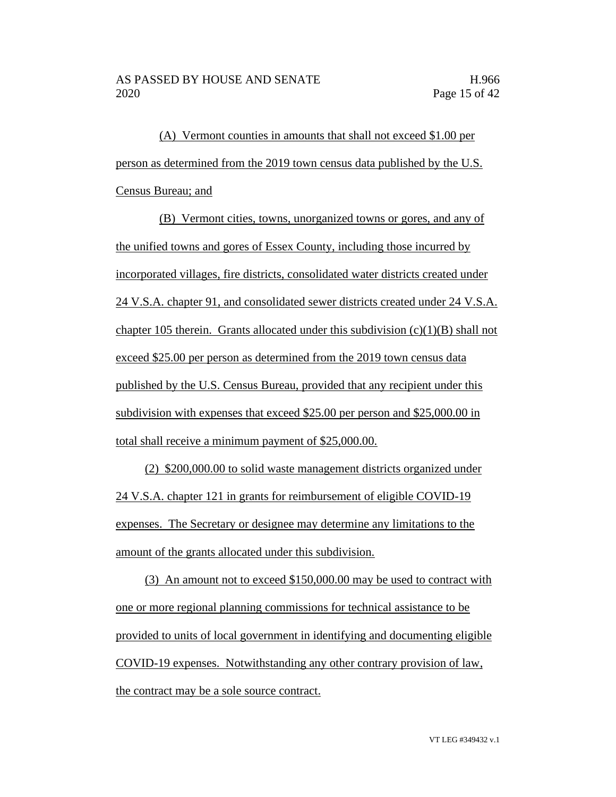(A) Vermont counties in amounts that shall not exceed \$1.00 per person as determined from the 2019 town census data published by the U.S. Census Bureau; and

(B) Vermont cities, towns, unorganized towns or gores, and any of the unified towns and gores of Essex County, including those incurred by incorporated villages, fire districts, consolidated water districts created under 24 V.S.A. chapter 91, and consolidated sewer districts created under 24 V.S.A. chapter 105 therein. Grants allocated under this subdivision  $(c)(1)(B)$  shall not exceed \$25.00 per person as determined from the 2019 town census data published by the U.S. Census Bureau, provided that any recipient under this subdivision with expenses that exceed \$25.00 per person and \$25,000.00 in total shall receive a minimum payment of \$25,000.00.

(2) \$200,000.00 to solid waste management districts organized under 24 V.S.A. chapter 121 in grants for reimbursement of eligible COVID-19 expenses. The Secretary or designee may determine any limitations to the amount of the grants allocated under this subdivision.

(3) An amount not to exceed \$150,000.00 may be used to contract with one or more regional planning commissions for technical assistance to be provided to units of local government in identifying and documenting eligible COVID-19 expenses. Notwithstanding any other contrary provision of law, the contract may be a sole source contract.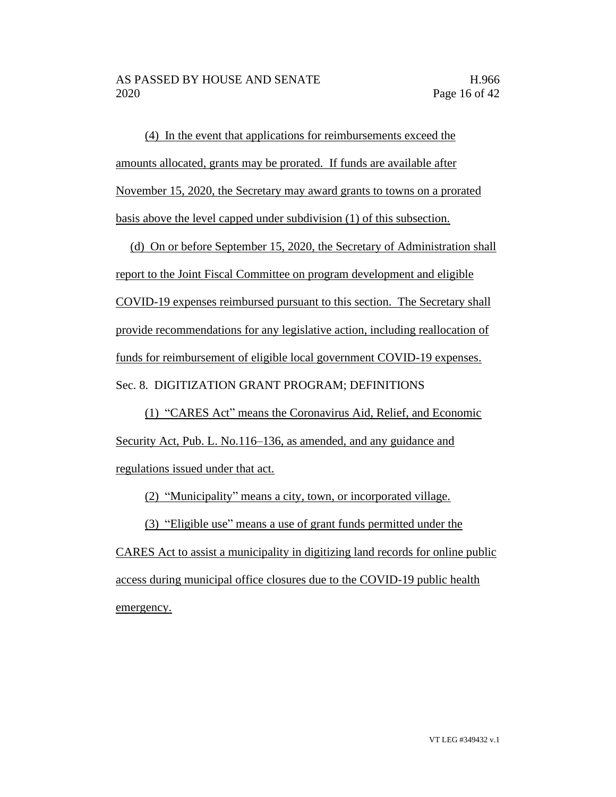(4) In the event that applications for reimbursements exceed the amounts allocated, grants may be prorated. If funds are available after November 15, 2020, the Secretary may award grants to towns on a prorated basis above the level capped under subdivision (1) of this subsection.

(d) On or before September 15, 2020, the Secretary of Administration shall report to the Joint Fiscal Committee on program development and eligible COVID-19 expenses reimbursed pursuant to this section. The Secretary shall provide recommendations for any legislative action, including reallocation of funds for reimbursement of eligible local government COVID-19 expenses. Sec. 8. DIGITIZATION GRANT PROGRAM; DEFINITIONS

(1) "CARES Act" means the Coronavirus Aid, Relief, and Economic Security Act, Pub. L. No.116–136, as amended, and any guidance and regulations issued under that act.

(2) "Municipality" means a city, town, or incorporated village.

(3) "Eligible use" means a use of grant funds permitted under the

CARES Act to assist a municipality in digitizing land records for online public access during municipal office closures due to the COVID-19 public health emergency.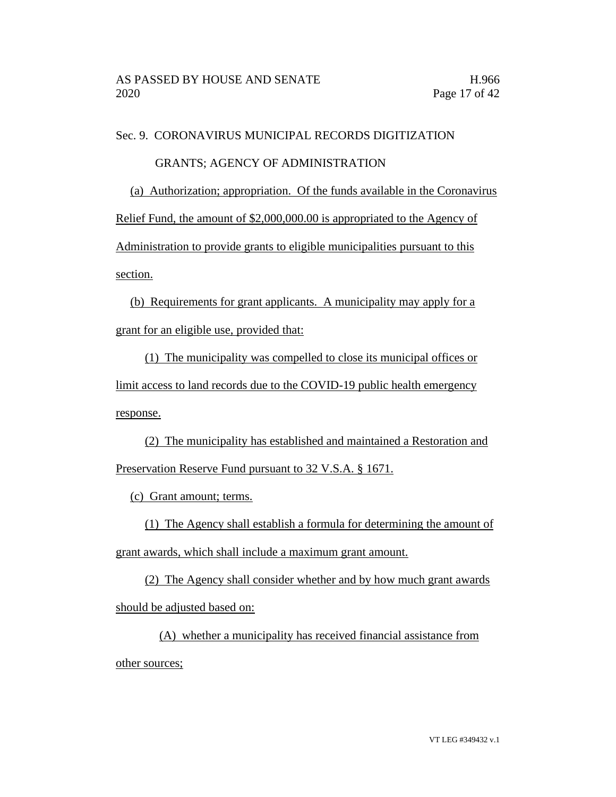Sec. 9. CORONAVIRUS MUNICIPAL RECORDS DIGITIZATION

### GRANTS; AGENCY OF ADMINISTRATION

(a) Authorization; appropriation. Of the funds available in the Coronavirus

Relief Fund, the amount of \$2,000,000.00 is appropriated to the Agency of

Administration to provide grants to eligible municipalities pursuant to this section.

(b) Requirements for grant applicants. A municipality may apply for a grant for an eligible use, provided that:

(1) The municipality was compelled to close its municipal offices or limit access to land records due to the COVID-19 public health emergency response.

(2) The municipality has established and maintained a Restoration and Preservation Reserve Fund pursuant to 32 V.S.A. § 1671.

(c) Grant amount; terms.

(1) The Agency shall establish a formula for determining the amount of grant awards, which shall include a maximum grant amount.

(2) The Agency shall consider whether and by how much grant awards should be adjusted based on:

(A) whether a municipality has received financial assistance from other sources;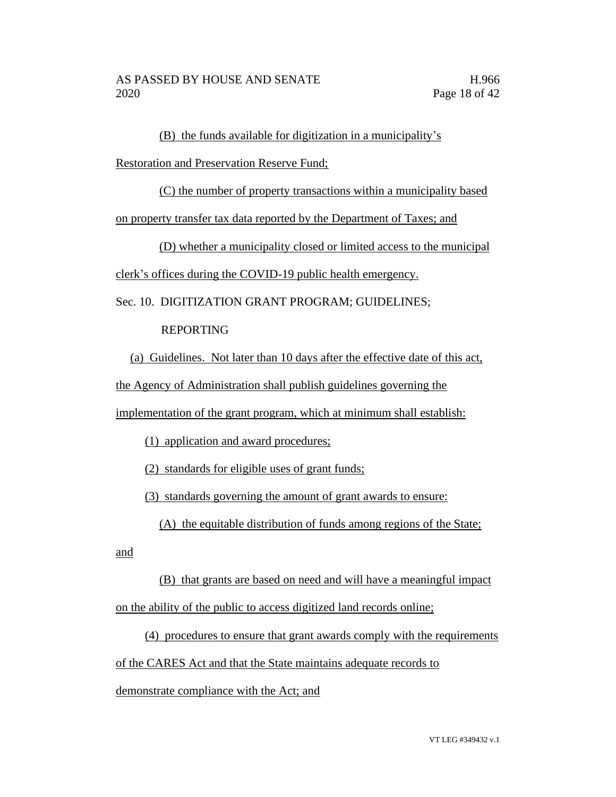(B) the funds available for digitization in a municipality's

Restoration and Preservation Reserve Fund;

(C) the number of property transactions within a municipality based

on property transfer tax data reported by the Department of Taxes; and

(D) whether a municipality closed or limited access to the municipal

clerk's offices during the COVID-19 public health emergency.

Sec. 10. DIGITIZATION GRANT PROGRAM; GUIDELINES;

# REPORTING

(a) Guidelines. Not later than 10 days after the effective date of this act,

the Agency of Administration shall publish guidelines governing the

implementation of the grant program, which at minimum shall establish:

(1) application and award procedures;

(2) standards for eligible uses of grant funds;

(3) standards governing the amount of grant awards to ensure:

(A) the equitable distribution of funds among regions of the State;

and

(B) that grants are based on need and will have a meaningful impact on the ability of the public to access digitized land records online;

(4) procedures to ensure that grant awards comply with the requirements of the CARES Act and that the State maintains adequate records to

demonstrate compliance with the Act; and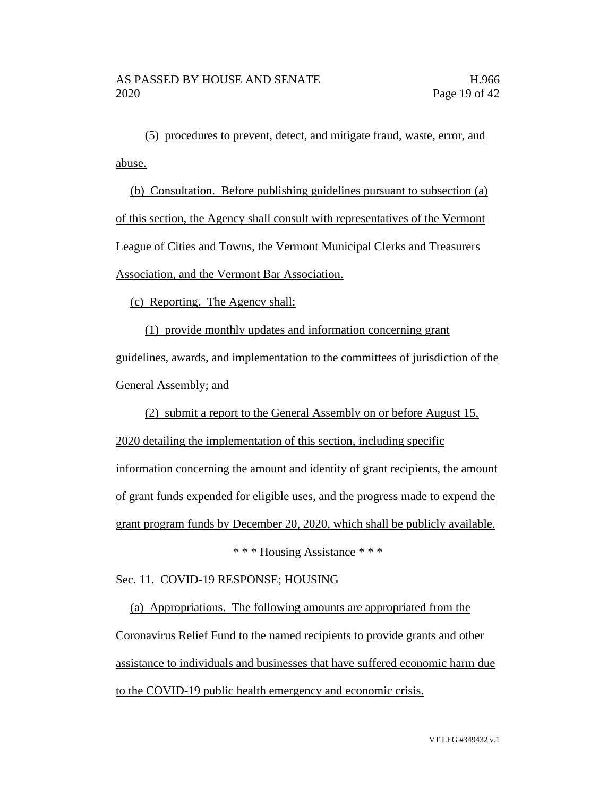(5) procedures to prevent, detect, and mitigate fraud, waste, error, and abuse.

(b) Consultation. Before publishing guidelines pursuant to subsection (a) of this section, the Agency shall consult with representatives of the Vermont League of Cities and Towns, the Vermont Municipal Clerks and Treasurers Association, and the Vermont Bar Association.

(c) Reporting. The Agency shall:

(1) provide monthly updates and information concerning grant guidelines, awards, and implementation to the committees of jurisdiction of the General Assembly; and

(2) submit a report to the General Assembly on or before August 15, 2020 detailing the implementation of this section, including specific information concerning the amount and identity of grant recipients, the amount of grant funds expended for eligible uses, and the progress made to expend the grant program funds by December 20, 2020, which shall be publicly available.

\* \* \* Housing Assistance \* \* \*

Sec. 11. COVID-19 RESPONSE; HOUSING

(a) Appropriations. The following amounts are appropriated from the Coronavirus Relief Fund to the named recipients to provide grants and other assistance to individuals and businesses that have suffered economic harm due to the COVID-19 public health emergency and economic crisis.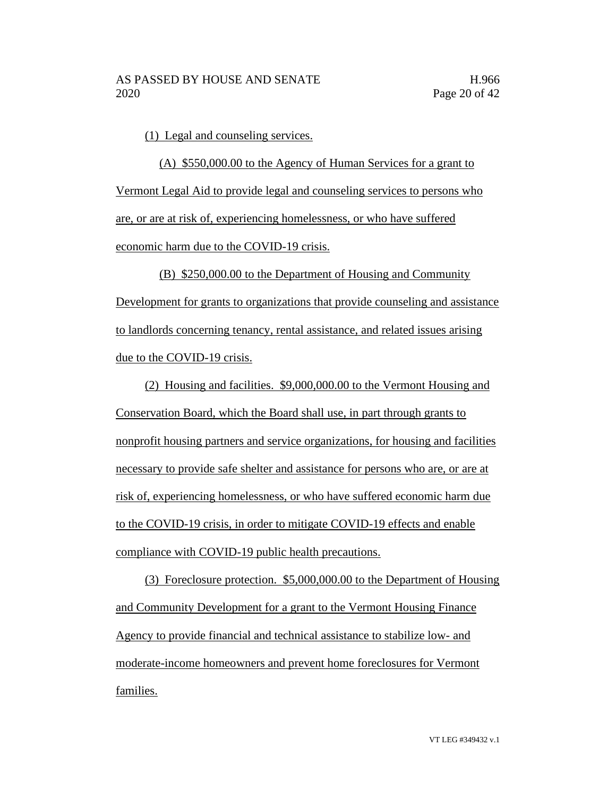(1) Legal and counseling services.

(A) \$550,000.00 to the Agency of Human Services for a grant to Vermont Legal Aid to provide legal and counseling services to persons who are, or are at risk of, experiencing homelessness, or who have suffered economic harm due to the COVID-19 crisis.

(B) \$250,000.00 to the Department of Housing and Community Development for grants to organizations that provide counseling and assistance to landlords concerning tenancy, rental assistance, and related issues arising due to the COVID-19 crisis.

(2) Housing and facilities. \$9,000,000.00 to the Vermont Housing and Conservation Board, which the Board shall use, in part through grants to nonprofit housing partners and service organizations, for housing and facilities necessary to provide safe shelter and assistance for persons who are, or are at risk of, experiencing homelessness, or who have suffered economic harm due to the COVID-19 crisis, in order to mitigate COVID-19 effects and enable compliance with COVID-19 public health precautions.

(3) Foreclosure protection. \$5,000,000.00 to the Department of Housing and Community Development for a grant to the Vermont Housing Finance Agency to provide financial and technical assistance to stabilize low- and moderate-income homeowners and prevent home foreclosures for Vermont families.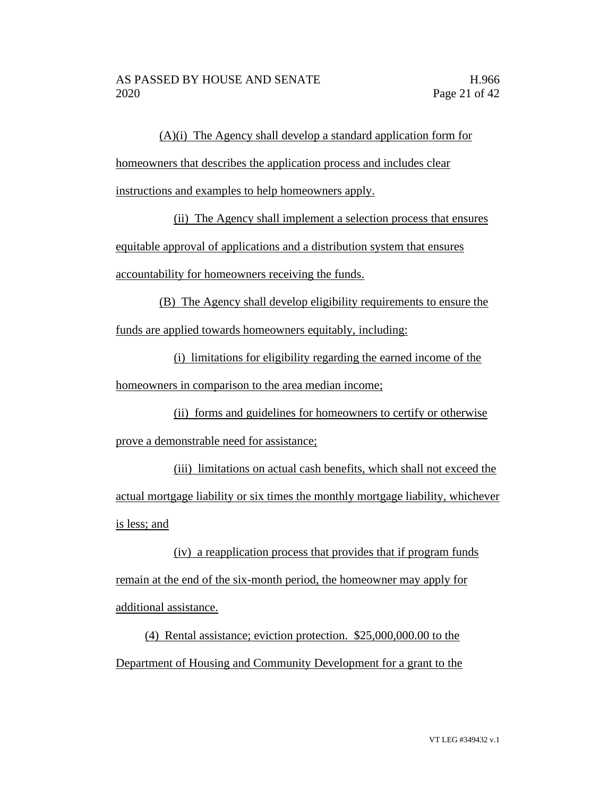(A)(i) The Agency shall develop a standard application form for

homeowners that describes the application process and includes clear

instructions and examples to help homeowners apply.

(ii) The Agency shall implement a selection process that ensures equitable approval of applications and a distribution system that ensures

accountability for homeowners receiving the funds.

(B) The Agency shall develop eligibility requirements to ensure the funds are applied towards homeowners equitably, including:

(i) limitations for eligibility regarding the earned income of the homeowners in comparison to the area median income;

(ii) forms and guidelines for homeowners to certify or otherwise prove a demonstrable need for assistance;

(iii) limitations on actual cash benefits, which shall not exceed the actual mortgage liability or six times the monthly mortgage liability, whichever is less; and

(iv) a reapplication process that provides that if program funds remain at the end of the six-month period, the homeowner may apply for additional assistance.

(4) Rental assistance; eviction protection. \$25,000,000.00 to the Department of Housing and Community Development for a grant to the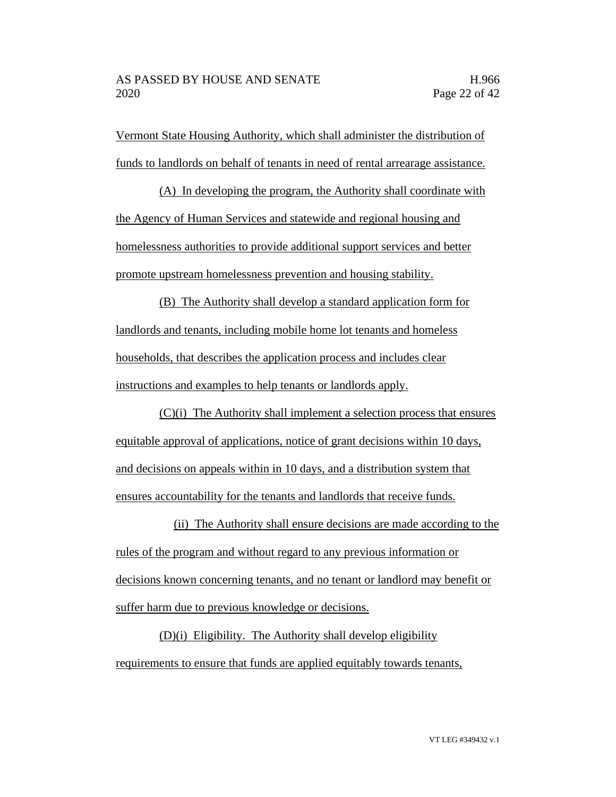Vermont State Housing Authority, which shall administer the distribution of funds to landlords on behalf of tenants in need of rental arrearage assistance.

(A) In developing the program, the Authority shall coordinate with the Agency of Human Services and statewide and regional housing and homelessness authorities to provide additional support services and better promote upstream homelessness prevention and housing stability.

(B) The Authority shall develop a standard application form for landlords and tenants, including mobile home lot tenants and homeless households, that describes the application process and includes clear instructions and examples to help tenants or landlords apply.

(C)(i) The Authority shall implement a selection process that ensures equitable approval of applications, notice of grant decisions within 10 days, and decisions on appeals within in 10 days, and a distribution system that ensures accountability for the tenants and landlords that receive funds.

(ii) The Authority shall ensure decisions are made according to the rules of the program and without regard to any previous information or decisions known concerning tenants, and no tenant or landlord may benefit or suffer harm due to previous knowledge or decisions.

(D)(i) Eligibility. The Authority shall develop eligibility requirements to ensure that funds are applied equitably towards tenants,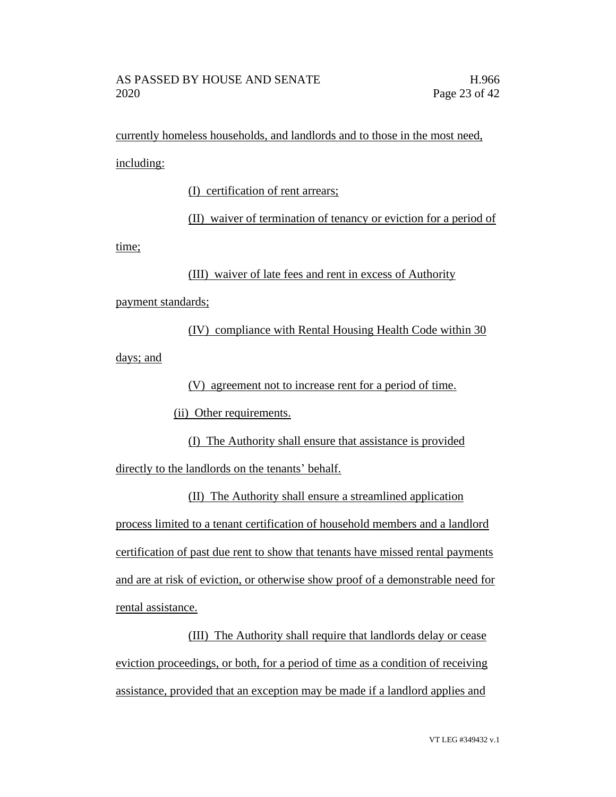currently homeless households, and landlords and to those in the most need, including:

(I) certification of rent arrears;

(II) waiver of termination of tenancy or eviction for a period of

time;

(III) waiver of late fees and rent in excess of Authority

payment standards;

(IV) compliance with Rental Housing Health Code within 30 days; and

(V) agreement not to increase rent for a period of time.

(ii) Other requirements.

(I) The Authority shall ensure that assistance is provided directly to the landlords on the tenants' behalf.

(II) The Authority shall ensure a streamlined application process limited to a tenant certification of household members and a landlord certification of past due rent to show that tenants have missed rental payments and are at risk of eviction, or otherwise show proof of a demonstrable need for rental assistance.

(III) The Authority shall require that landlords delay or cease eviction proceedings, or both, for a period of time as a condition of receiving assistance, provided that an exception may be made if a landlord applies and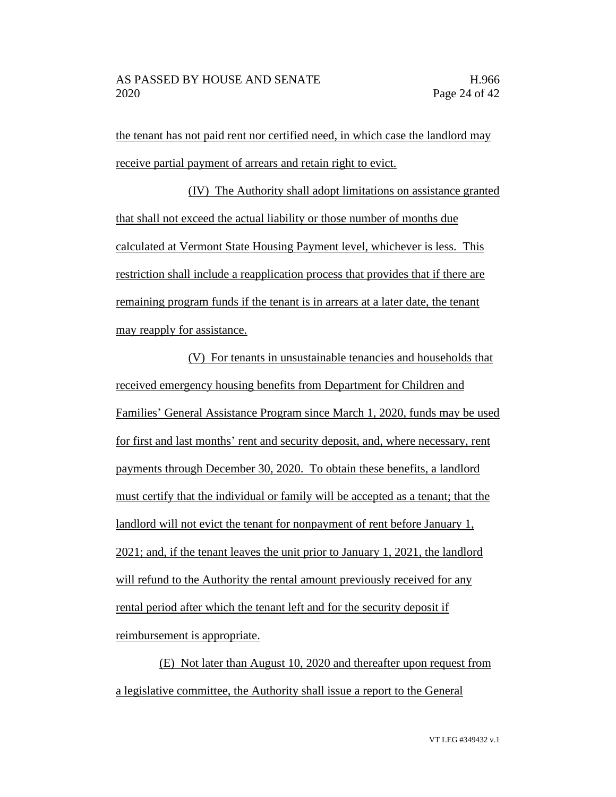the tenant has not paid rent nor certified need, in which case the landlord may receive partial payment of arrears and retain right to evict.

(IV) The Authority shall adopt limitations on assistance granted that shall not exceed the actual liability or those number of months due calculated at Vermont State Housing Payment level, whichever is less. This restriction shall include a reapplication process that provides that if there are remaining program funds if the tenant is in arrears at a later date, the tenant may reapply for assistance.

(V) For tenants in unsustainable tenancies and households that received emergency housing benefits from Department for Children and Families' General Assistance Program since March 1, 2020, funds may be used for first and last months' rent and security deposit, and, where necessary, rent payments through December 30, 2020. To obtain these benefits, a landlord must certify that the individual or family will be accepted as a tenant; that the landlord will not evict the tenant for nonpayment of rent before January 1, 2021; and, if the tenant leaves the unit prior to January 1, 2021, the landlord will refund to the Authority the rental amount previously received for any rental period after which the tenant left and for the security deposit if reimbursement is appropriate.

(E) Not later than August 10, 2020 and thereafter upon request from a legislative committee, the Authority shall issue a report to the General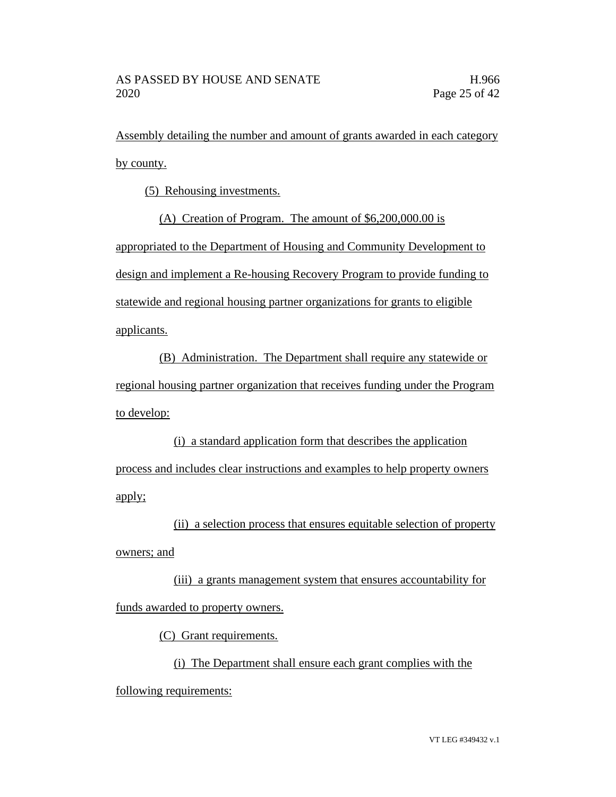Assembly detailing the number and amount of grants awarded in each category by county.

(5) Rehousing investments.

(A) Creation of Program. The amount of \$6,200,000.00 is

appropriated to the Department of Housing and Community Development to design and implement a Re-housing Recovery Program to provide funding to statewide and regional housing partner organizations for grants to eligible applicants.

(B) Administration. The Department shall require any statewide or regional housing partner organization that receives funding under the Program to develop:

(i) a standard application form that describes the application process and includes clear instructions and examples to help property owners apply;

(ii) a selection process that ensures equitable selection of property owners; and

(iii) a grants management system that ensures accountability for funds awarded to property owners.

(C) Grant requirements.

(i) The Department shall ensure each grant complies with the following requirements: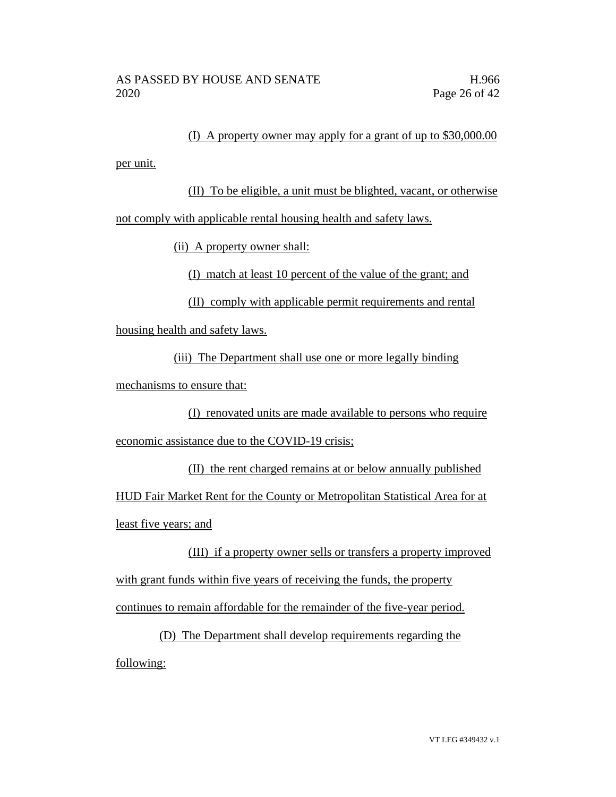(I) A property owner may apply for a grant of up to \$30,000.00

per unit.

(II) To be eligible, a unit must be blighted, vacant, or otherwise not comply with applicable rental housing health and safety laws.

(ii) A property owner shall:

(I) match at least 10 percent of the value of the grant; and

(II) comply with applicable permit requirements and rental

housing health and safety laws.

(iii) The Department shall use one or more legally binding

mechanisms to ensure that:

(I) renovated units are made available to persons who require economic assistance due to the COVID-19 crisis;

(II) the rent charged remains at or below annually published HUD Fair Market Rent for the County or Metropolitan Statistical Area for at least five years; and

(III) if a property owner sells or transfers a property improved with grant funds within five years of receiving the funds, the property continues to remain affordable for the remainder of the five-year period.

(D) The Department shall develop requirements regarding the following: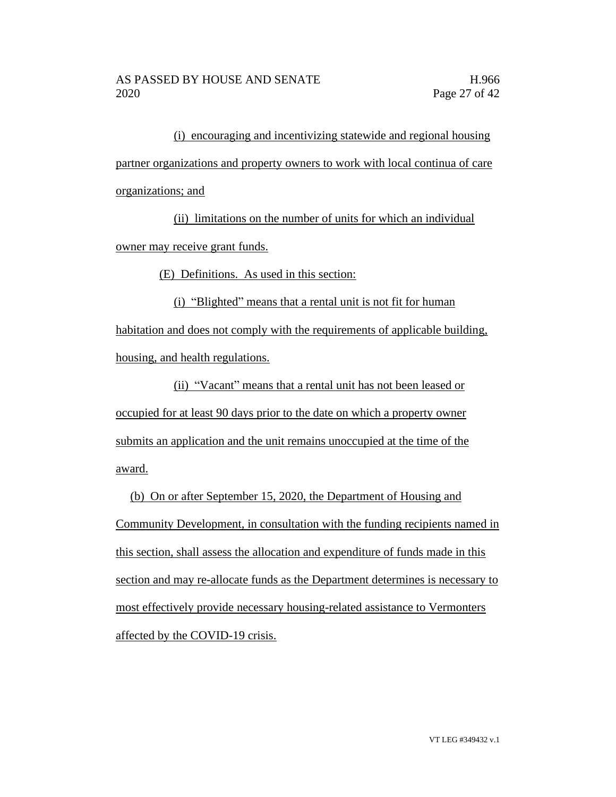(i) encouraging and incentivizing statewide and regional housing partner organizations and property owners to work with local continua of care organizations; and

(ii) limitations on the number of units for which an individual owner may receive grant funds.

(E) Definitions. As used in this section:

(i) "Blighted" means that a rental unit is not fit for human habitation and does not comply with the requirements of applicable building, housing, and health regulations.

(ii) "Vacant" means that a rental unit has not been leased or occupied for at least 90 days prior to the date on which a property owner submits an application and the unit remains unoccupied at the time of the award.

(b) On or after September 15, 2020, the Department of Housing and Community Development, in consultation with the funding recipients named in this section, shall assess the allocation and expenditure of funds made in this section and may re-allocate funds as the Department determines is necessary to most effectively provide necessary housing-related assistance to Vermonters affected by the COVID-19 crisis.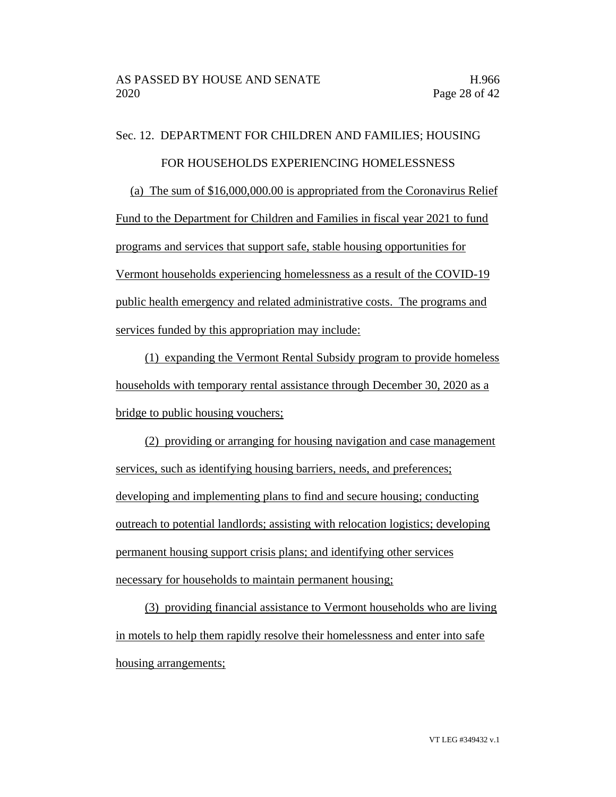Sec. 12. DEPARTMENT FOR CHILDREN AND FAMILIES; HOUSING

#### FOR HOUSEHOLDS EXPERIENCING HOMELESSNESS

(a) The sum of \$16,000,000.00 is appropriated from the Coronavirus Relief

Fund to the Department for Children and Families in fiscal year 2021 to fund programs and services that support safe, stable housing opportunities for Vermont households experiencing homelessness as a result of the COVID-19 public health emergency and related administrative costs. The programs and services funded by this appropriation may include:

(1) expanding the Vermont Rental Subsidy program to provide homeless households with temporary rental assistance through December 30, 2020 as a bridge to public housing vouchers;

(2) providing or arranging for housing navigation and case management services, such as identifying housing barriers, needs, and preferences; developing and implementing plans to find and secure housing; conducting outreach to potential landlords; assisting with relocation logistics; developing permanent housing support crisis plans; and identifying other services necessary for households to maintain permanent housing;

(3) providing financial assistance to Vermont households who are living in motels to help them rapidly resolve their homelessness and enter into safe housing arrangements;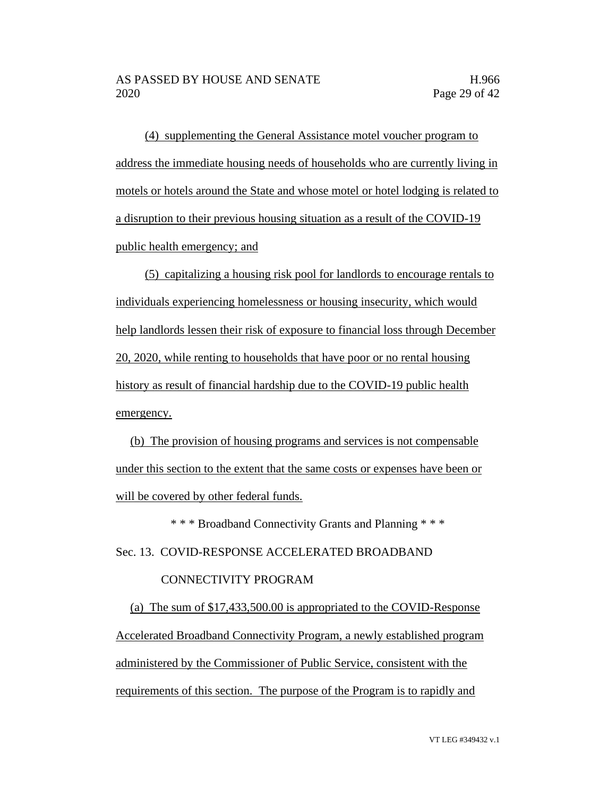(4) supplementing the General Assistance motel voucher program to address the immediate housing needs of households who are currently living in motels or hotels around the State and whose motel or hotel lodging is related to a disruption to their previous housing situation as a result of the COVID-19 public health emergency; and

(5) capitalizing a housing risk pool for landlords to encourage rentals to individuals experiencing homelessness or housing insecurity, which would help landlords lessen their risk of exposure to financial loss through December 20, 2020, while renting to households that have poor or no rental housing history as result of financial hardship due to the COVID-19 public health emergency.

(b) The provision of housing programs and services is not compensable under this section to the extent that the same costs or expenses have been or will be covered by other federal funds.

\* \* \* Broadband Connectivity Grants and Planning \* \* \*

Sec. 13. COVID-RESPONSE ACCELERATED BROADBAND

### CONNECTIVITY PROGRAM

(a) The sum of \$17,433,500.00 is appropriated to the COVID-Response Accelerated Broadband Connectivity Program, a newly established program administered by the Commissioner of Public Service, consistent with the requirements of this section. The purpose of the Program is to rapidly and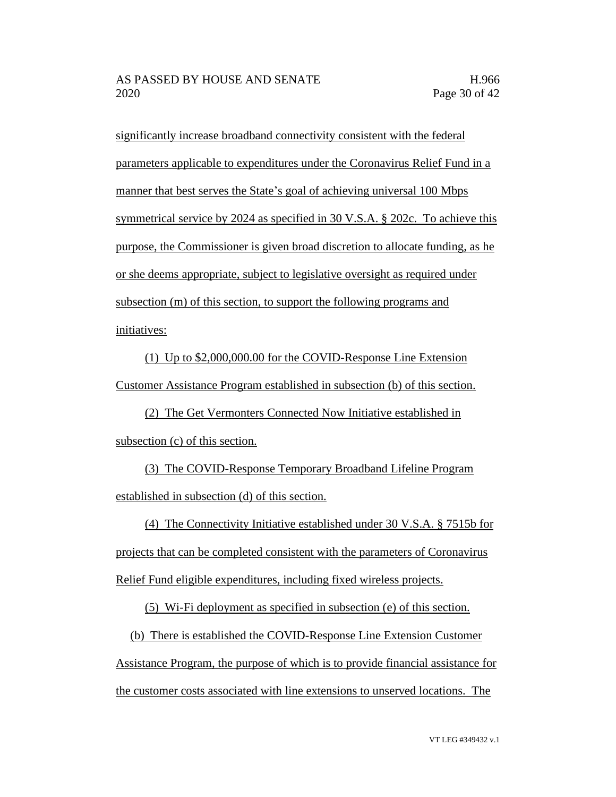significantly increase broadband connectivity consistent with the federal parameters applicable to expenditures under the Coronavirus Relief Fund in a manner that best serves the State's goal of achieving universal 100 Mbps symmetrical service by 2024 as specified in 30 V.S.A. § 202c. To achieve this purpose, the Commissioner is given broad discretion to allocate funding, as he or she deems appropriate, subject to legislative oversight as required under subsection (m) of this section, to support the following programs and initiatives:

(1) Up to \$2,000,000.00 for the COVID-Response Line Extension Customer Assistance Program established in subsection (b) of this section.

(2) The Get Vermonters Connected Now Initiative established in subsection (c) of this section.

(3) The COVID-Response Temporary Broadband Lifeline Program established in subsection (d) of this section.

(4) The Connectivity Initiative established under 30 V.S.A. § 7515b for projects that can be completed consistent with the parameters of Coronavirus Relief Fund eligible expenditures, including fixed wireless projects.

(5) Wi-Fi deployment as specified in subsection (e) of this section.

(b) There is established the COVID-Response Line Extension Customer Assistance Program, the purpose of which is to provide financial assistance for the customer costs associated with line extensions to unserved locations. The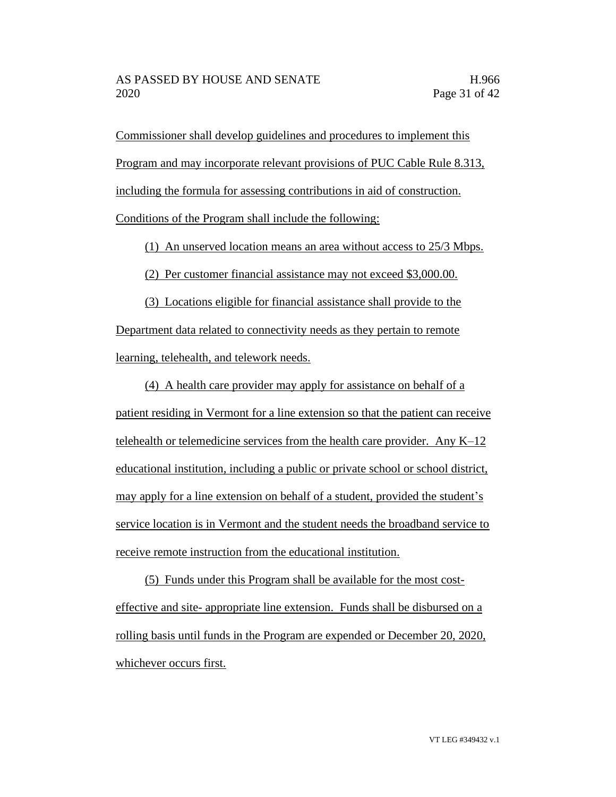Commissioner shall develop guidelines and procedures to implement this Program and may incorporate relevant provisions of PUC Cable Rule 8.313, including the formula for assessing contributions in aid of construction.

Conditions of the Program shall include the following:

(1) An unserved location means an area without access to 25/3 Mbps.

(2) Per customer financial assistance may not exceed \$3,000.00.

(3) Locations eligible for financial assistance shall provide to the Department data related to connectivity needs as they pertain to remote learning, telehealth, and telework needs.

(4) A health care provider may apply for assistance on behalf of a patient residing in Vermont for a line extension so that the patient can receive telehealth or telemedicine services from the health care provider. Any K–12 educational institution, including a public or private school or school district, may apply for a line extension on behalf of a student, provided the student's service location is in Vermont and the student needs the broadband service to receive remote instruction from the educational institution.

(5) Funds under this Program shall be available for the most costeffective and site- appropriate line extension. Funds shall be disbursed on a rolling basis until funds in the Program are expended or December 20, 2020, whichever occurs first.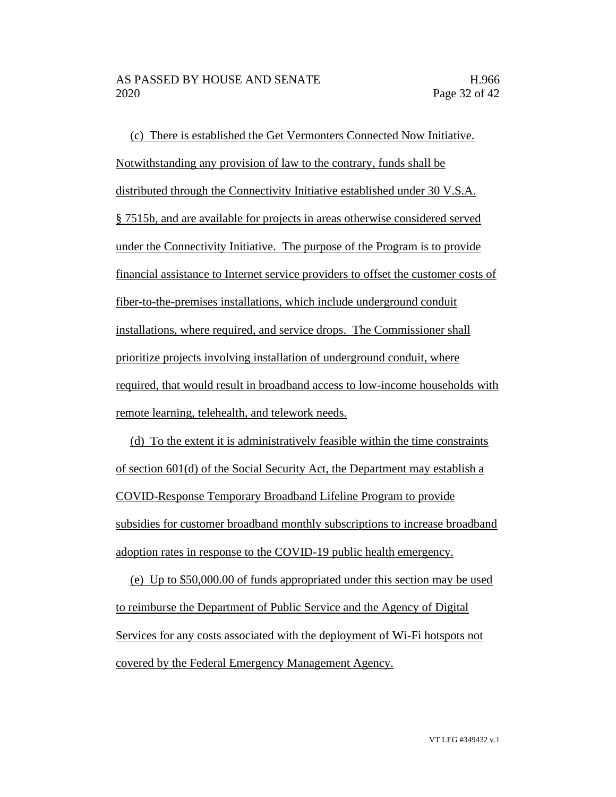(c) There is established the Get Vermonters Connected Now Initiative. Notwithstanding any provision of law to the contrary, funds shall be distributed through the Connectivity Initiative established under 30 V.S.A. § 7515b, and are available for projects in areas otherwise considered served under the Connectivity Initiative. The purpose of the Program is to provide financial assistance to Internet service providers to offset the customer costs of fiber-to-the-premises installations, which include underground conduit installations, where required, and service drops. The Commissioner shall prioritize projects involving installation of underground conduit, where required, that would result in broadband access to low-income households with remote learning, telehealth, and telework needs.

(d) To the extent it is administratively feasible within the time constraints of section 601(d) of the Social Security Act, the Department may establish a COVID-Response Temporary Broadband Lifeline Program to provide subsidies for customer broadband monthly subscriptions to increase broadband adoption rates in response to the COVID-19 public health emergency.

(e) Up to \$50,000.00 of funds appropriated under this section may be used to reimburse the Department of Public Service and the Agency of Digital Services for any costs associated with the deployment of Wi-Fi hotspots not covered by the Federal Emergency Management Agency.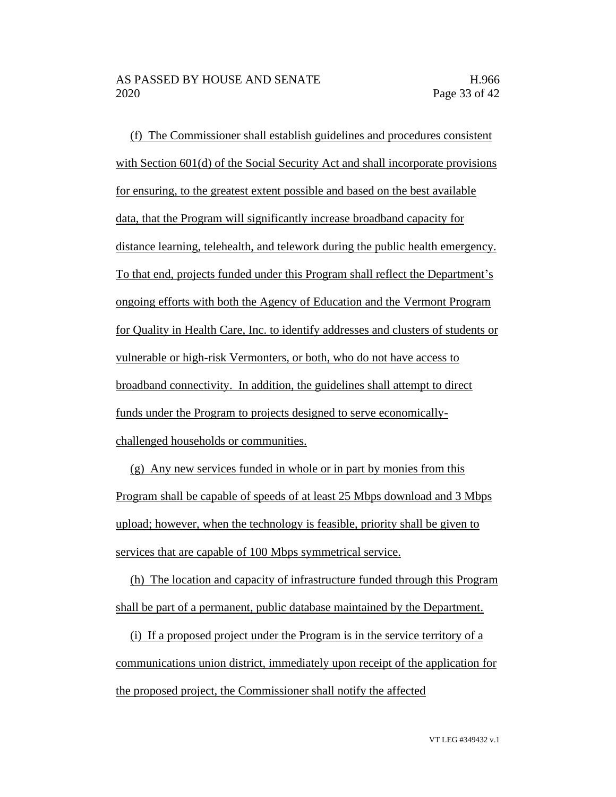(f) The Commissioner shall establish guidelines and procedures consistent with Section 601(d) of the Social Security Act and shall incorporate provisions for ensuring, to the greatest extent possible and based on the best available data, that the Program will significantly increase broadband capacity for distance learning, telehealth, and telework during the public health emergency. To that end, projects funded under this Program shall reflect the Department's ongoing efforts with both the Agency of Education and the Vermont Program for Quality in Health Care, Inc. to identify addresses and clusters of students or vulnerable or high-risk Vermonters, or both, who do not have access to broadband connectivity. In addition, the guidelines shall attempt to direct funds under the Program to projects designed to serve economicallychallenged households or communities.

(g) Any new services funded in whole or in part by monies from this Program shall be capable of speeds of at least 25 Mbps download and 3 Mbps upload; however, when the technology is feasible, priority shall be given to services that are capable of 100 Mbps symmetrical service.

(h) The location and capacity of infrastructure funded through this Program shall be part of a permanent, public database maintained by the Department.

(i) If a proposed project under the Program is in the service territory of a communications union district, immediately upon receipt of the application for the proposed project, the Commissioner shall notify the affected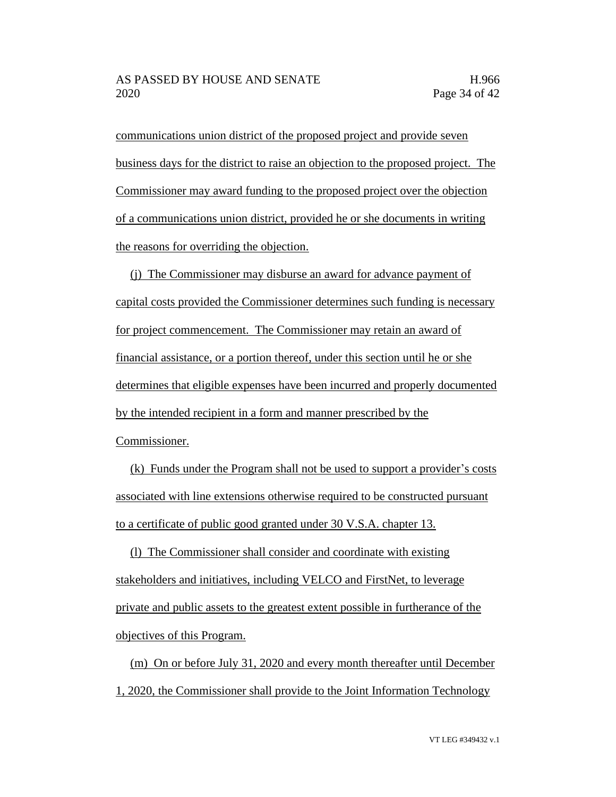communications union district of the proposed project and provide seven business days for the district to raise an objection to the proposed project. The Commissioner may award funding to the proposed project over the objection of a communications union district, provided he or she documents in writing the reasons for overriding the objection.

(j) The Commissioner may disburse an award for advance payment of capital costs provided the Commissioner determines such funding is necessary for project commencement. The Commissioner may retain an award of financial assistance, or a portion thereof, under this section until he or she determines that eligible expenses have been incurred and properly documented by the intended recipient in a form and manner prescribed by the Commissioner.

(k) Funds under the Program shall not be used to support a provider's costs associated with line extensions otherwise required to be constructed pursuant to a certificate of public good granted under 30 V.S.A. chapter 13.

(l) The Commissioner shall consider and coordinate with existing stakeholders and initiatives, including VELCO and FirstNet, to leverage private and public assets to the greatest extent possible in furtherance of the objectives of this Program.

(m) On or before July 31, 2020 and every month thereafter until December 1, 2020, the Commissioner shall provide to the Joint Information Technology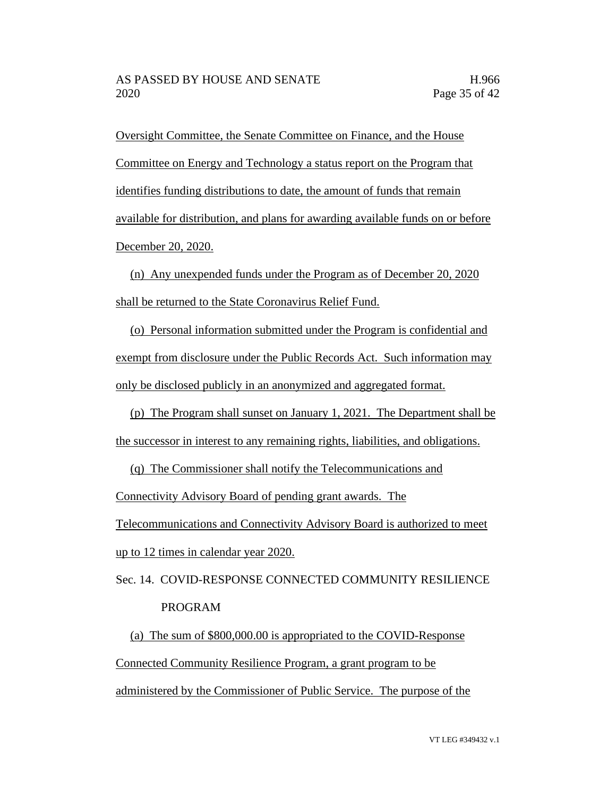Oversight Committee, the Senate Committee on Finance, and the House Committee on Energy and Technology a status report on the Program that identifies funding distributions to date, the amount of funds that remain available for distribution, and plans for awarding available funds on or before December 20, 2020.

(n) Any unexpended funds under the Program as of December 20, 2020 shall be returned to the State Coronavirus Relief Fund.

(o) Personal information submitted under the Program is confidential and exempt from disclosure under the Public Records Act. Such information may only be disclosed publicly in an anonymized and aggregated format.

(p) The Program shall sunset on January 1, 2021. The Department shall be the successor in interest to any remaining rights, liabilities, and obligations.

(q) The Commissioner shall notify the Telecommunications and

Connectivity Advisory Board of pending grant awards. The

Telecommunications and Connectivity Advisory Board is authorized to meet

up to 12 times in calendar year 2020.

Sec. 14. COVID-RESPONSE CONNECTED COMMUNITY RESILIENCE PROGRAM

(a) The sum of \$800,000.00 is appropriated to the COVID-Response Connected Community Resilience Program, a grant program to be administered by the Commissioner of Public Service. The purpose of the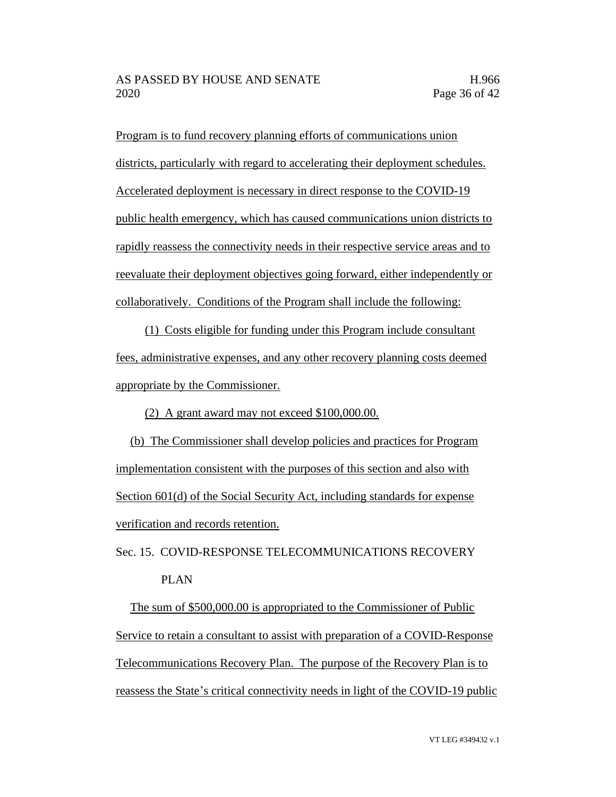Program is to fund recovery planning efforts of communications union districts, particularly with regard to accelerating their deployment schedules. Accelerated deployment is necessary in direct response to the COVID-19 public health emergency, which has caused communications union districts to rapidly reassess the connectivity needs in their respective service areas and to reevaluate their deployment objectives going forward, either independently or collaboratively. Conditions of the Program shall include the following:

(1) Costs eligible for funding under this Program include consultant fees, administrative expenses, and any other recovery planning costs deemed appropriate by the Commissioner.

(2) A grant award may not exceed \$100,000.00.

(b) The Commissioner shall develop policies and practices for Program implementation consistent with the purposes of this section and also with Section 601(d) of the Social Security Act, including standards for expense verification and records retention.

Sec. 15. COVID-RESPONSE TELECOMMUNICATIONS RECOVERY PLAN

The sum of \$500,000.00 is appropriated to the Commissioner of Public Service to retain a consultant to assist with preparation of a COVID-Response Telecommunications Recovery Plan. The purpose of the Recovery Plan is to reassess the State's critical connectivity needs in light of the COVID-19 public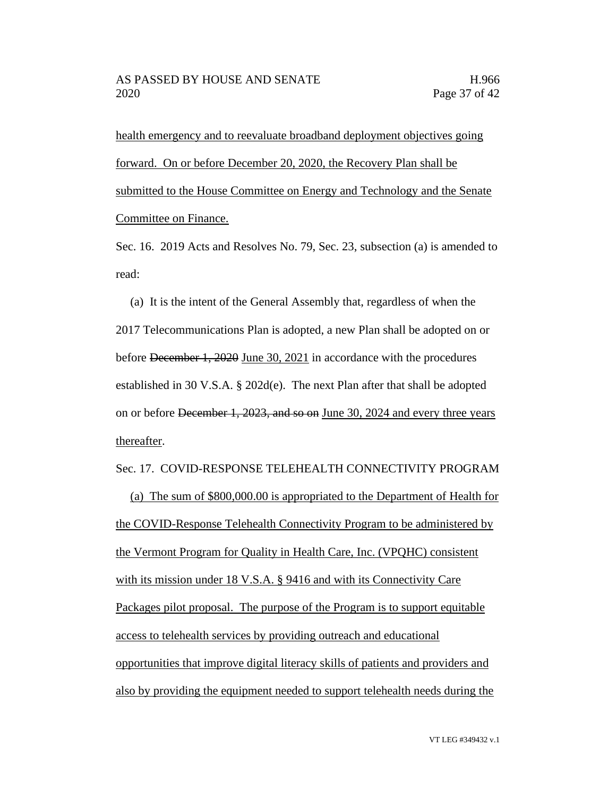health emergency and to reevaluate broadband deployment objectives going forward. On or before December 20, 2020, the Recovery Plan shall be submitted to the House Committee on Energy and Technology and the Senate Committee on Finance.

Sec. 16. 2019 Acts and Resolves No. 79, Sec. 23, subsection (a) is amended to read:

(a) It is the intent of the General Assembly that, regardless of when the 2017 Telecommunications Plan is adopted, a new Plan shall be adopted on or before December 1, 2020 June 30, 2021 in accordance with the procedures established in 30 V.S.A. § 202d(e). The next Plan after that shall be adopted on or before December 1, 2023, and so on June 30, 2024 and every three years thereafter.

#### Sec. 17. COVID-RESPONSE TELEHEALTH CONNECTIVITY PROGRAM

(a) The sum of \$800,000.00 is appropriated to the Department of Health for the COVID-Response Telehealth Connectivity Program to be administered by the Vermont Program for Quality in Health Care, Inc. (VPQHC) consistent with its mission under 18 V.S.A. § 9416 and with its Connectivity Care Packages pilot proposal. The purpose of the Program is to support equitable access to telehealth services by providing outreach and educational opportunities that improve digital literacy skills of patients and providers and also by providing the equipment needed to support telehealth needs during the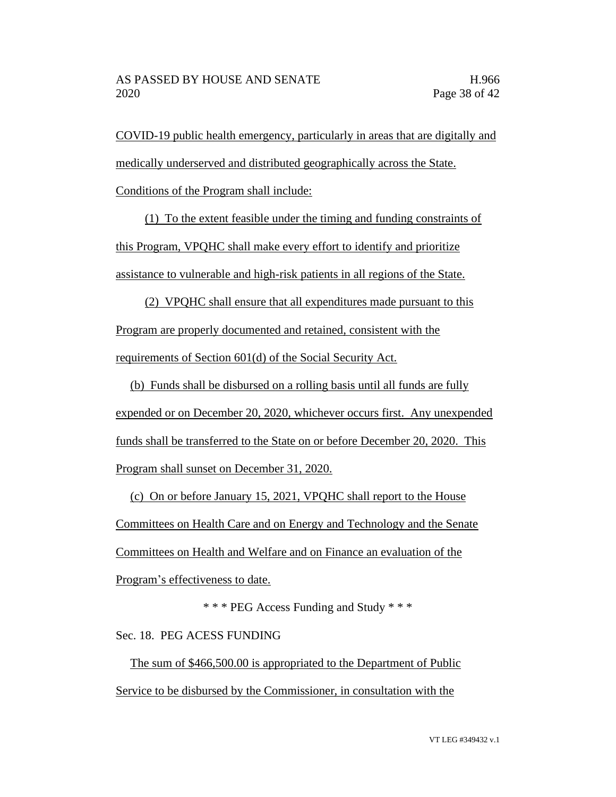COVID-19 public health emergency, particularly in areas that are digitally and medically underserved and distributed geographically across the State.

Conditions of the Program shall include:

(1) To the extent feasible under the timing and funding constraints of this Program, VPQHC shall make every effort to identify and prioritize assistance to vulnerable and high-risk patients in all regions of the State.

(2) VPQHC shall ensure that all expenditures made pursuant to this Program are properly documented and retained, consistent with the requirements of Section 601(d) of the Social Security Act.

(b) Funds shall be disbursed on a rolling basis until all funds are fully expended or on December 20, 2020, whichever occurs first. Any unexpended funds shall be transferred to the State on or before December 20, 2020. This Program shall sunset on December 31, 2020.

(c) On or before January 15, 2021, VPQHC shall report to the House Committees on Health Care and on Energy and Technology and the Senate Committees on Health and Welfare and on Finance an evaluation of the Program's effectiveness to date.

\* \* \* PEG Access Funding and Study \* \* \*

Sec. 18. PEG ACESS FUNDING

The sum of \$466,500.00 is appropriated to the Department of Public Service to be disbursed by the Commissioner, in consultation with the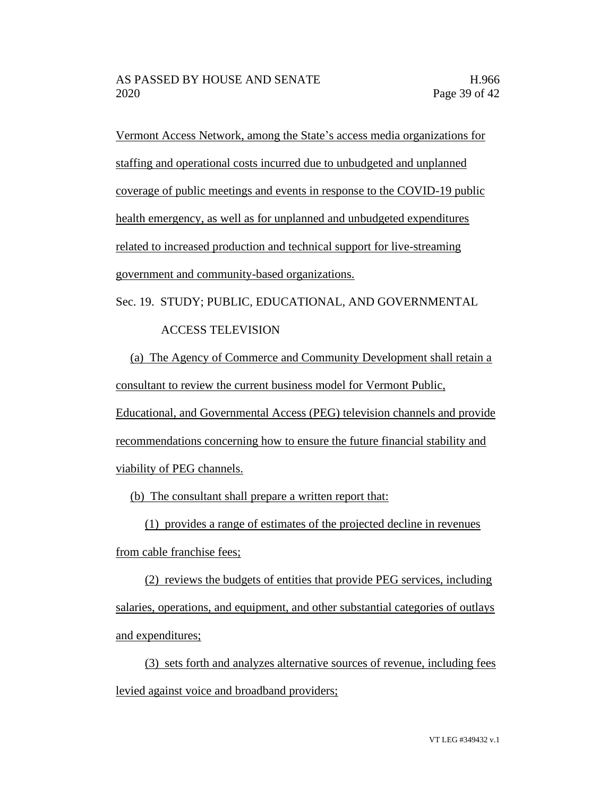Vermont Access Network, among the State's access media organizations for staffing and operational costs incurred due to unbudgeted and unplanned coverage of public meetings and events in response to the COVID-19 public health emergency, as well as for unplanned and unbudgeted expenditures related to increased production and technical support for live-streaming government and community-based organizations.

Sec. 19. STUDY; PUBLIC, EDUCATIONAL, AND GOVERNMENTAL

## ACCESS TELEVISION

(a) The Agency of Commerce and Community Development shall retain a consultant to review the current business model for Vermont Public,

Educational, and Governmental Access (PEG) television channels and provide recommendations concerning how to ensure the future financial stability and viability of PEG channels.

(b) The consultant shall prepare a written report that:

(1) provides a range of estimates of the projected decline in revenues

from cable franchise fees;

(2) reviews the budgets of entities that provide PEG services, including salaries, operations, and equipment, and other substantial categories of outlays and expenditures;

(3) sets forth and analyzes alternative sources of revenue, including fees levied against voice and broadband providers;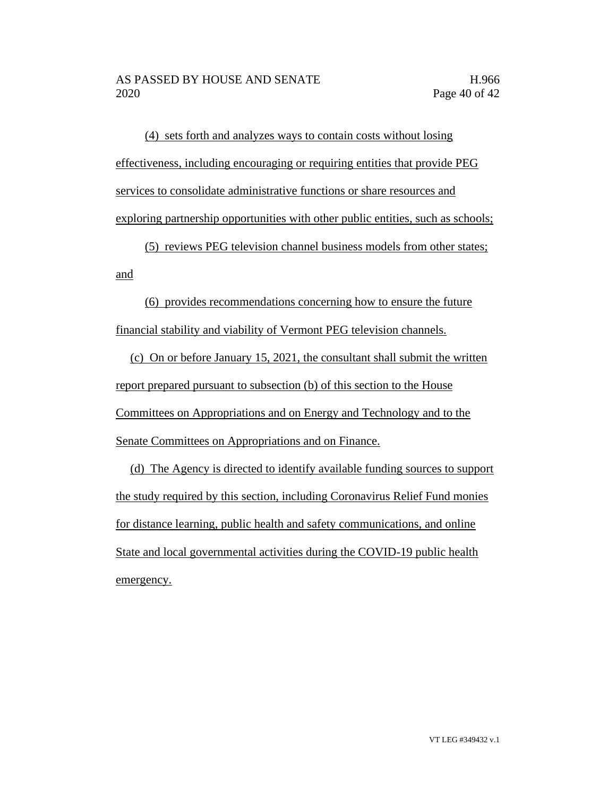(4) sets forth and analyzes ways to contain costs without losing effectiveness, including encouraging or requiring entities that provide PEG services to consolidate administrative functions or share resources and exploring partnership opportunities with other public entities, such as schools;

(5) reviews PEG television channel business models from other states; and

(6) provides recommendations concerning how to ensure the future financial stability and viability of Vermont PEG television channels.

(c) On or before January 15, 2021, the consultant shall submit the written report prepared pursuant to subsection (b) of this section to the House Committees on Appropriations and on Energy and Technology and to the Senate Committees on Appropriations and on Finance.

(d) The Agency is directed to identify available funding sources to support the study required by this section, including Coronavirus Relief Fund monies for distance learning, public health and safety communications, and online State and local governmental activities during the COVID-19 public health emergency.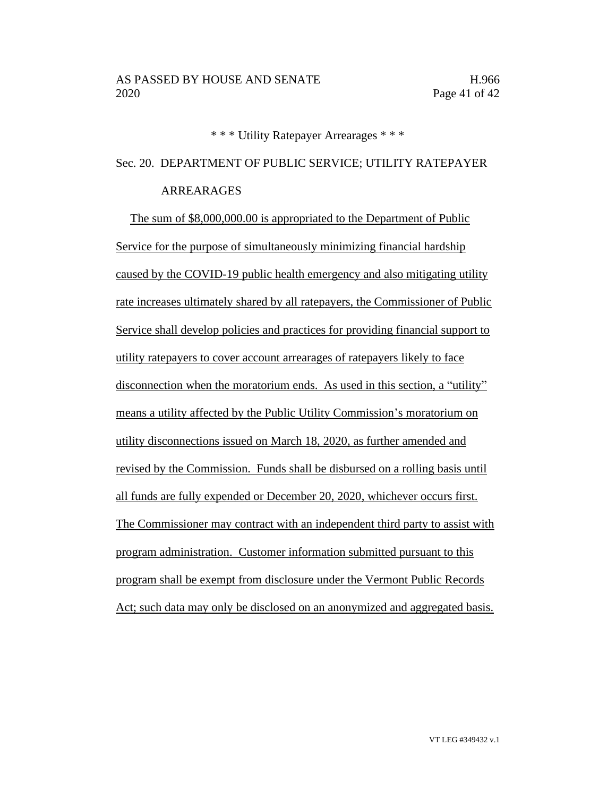\* \* \* Utility Ratepayer Arrearages \* \* \*

Sec. 20. DEPARTMENT OF PUBLIC SERVICE; UTILITY RATEPAYER

### ARREARAGES

The sum of \$8,000,000.00 is appropriated to the Department of Public Service for the purpose of simultaneously minimizing financial hardship caused by the COVID-19 public health emergency and also mitigating utility rate increases ultimately shared by all ratepayers, the Commissioner of Public Service shall develop policies and practices for providing financial support to utility ratepayers to cover account arrearages of ratepayers likely to face disconnection when the moratorium ends. As used in this section, a "utility" means a utility affected by the Public Utility Commission's moratorium on utility disconnections issued on March 18, 2020, as further amended and revised by the Commission. Funds shall be disbursed on a rolling basis until all funds are fully expended or December 20, 2020, whichever occurs first. The Commissioner may contract with an independent third party to assist with program administration. Customer information submitted pursuant to this program shall be exempt from disclosure under the Vermont Public Records Act; such data may only be disclosed on an anonymized and aggregated basis.